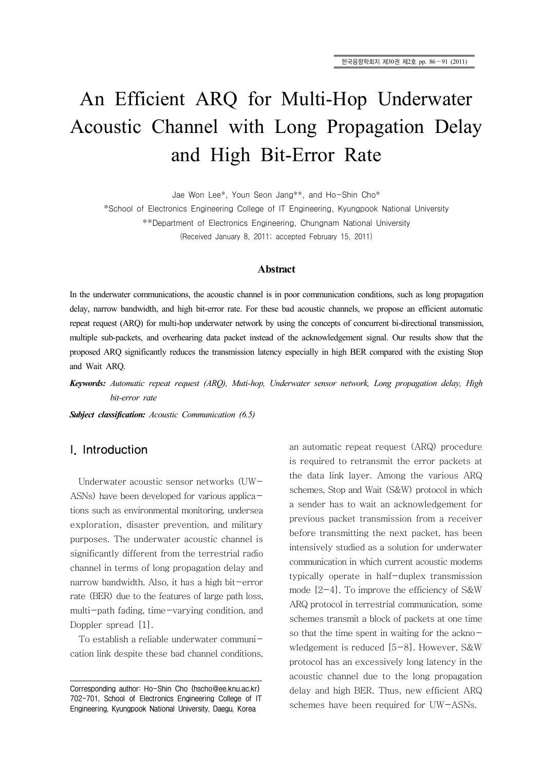# An Efficient ARQ for Multi-Hop Underwater Acoustic Channel with Long Propagation Delay and High Bit-Error Rate

Jae Won Lee\*, Youn Seon Jang\*\*, and Ho-Shin Cho\*

\*School of Electronics Engineering College of IT Engineering, Kyungpook National University

\*\*Department of Electronics Engineering, Chungnam National University

(Received January 8, 2011; accepted February 15, 2011)

#### **Abstract**

In the underwater communications, the acoustic channel is in poor communication conditions, such as long propagation delay, narrow bandwidth, and high bit-error rate. For these bad acoustic channels, we propose an efficient automatic repeat request (ARQ) for multi-hop underwater network by using the concepts of concurrent bi-directional transmission, multiple sub-packets, and overhearing data packet instead of the acknowledgement signal. Our results show that the proposed ARQ significantly reduces the transmission latency especially in high BER compared with the existing Stop and Wait ARQ.

*Keywords: Automatic repeat request (ARQ), Muti-hop, Underwater sensor network, Long propagation delay, High bit-error rate*

*Subject classification: Acoustic Communication (6.5)*

# I. Introduction

Underwater acoustic sensor networks (UW-ASNs) have been developed for various applications such as environmental monitoring, undersea exploration, disaster prevention, and military purposes. The underwater acoustic channel is significantly different from the terrestrial radio channel in terms of long propagation delay and narrow bandwidth. Also, it has a high bit-error rate (BER) due to the features of large path loss, multi-path fading, time-varying condition, and Doppler spread [1].

To establish a reliable underwater communication link despite these bad channel conditions, an automatic repeat request (ARQ) procedure is required to retransmit the error packets at the data link layer. Among the various ARQ schemes, Stop and Wait (S&W) protocol in which a sender has to wait an acknowledgement for previous packet transmission from a receiver before transmitting the next packet, has been intensively studied as a solution for underwater communication in which current acoustic modems typically operate in half-duplex transmission mode  $[2-4]$ . To improve the efficiency of S&W ARQ protocol in terrestrial communication, some schemes transmit a block of packets at one time so that the time spent in waiting for the acknowledgement is reduced [5-8]. However, S&W protocol has an excessively long latency in the acoustic channel due to the long propagation delay and high BER. Thus, new efficient ARQ schemes have been required for UW-ASNs.

Corresponding author: Ho-Shin Cho (hscho@ee.knu.ac.kr) 702-701, School of Electronics Engineering College of IT Engineering, Kyungpook National University, Daegu, Korea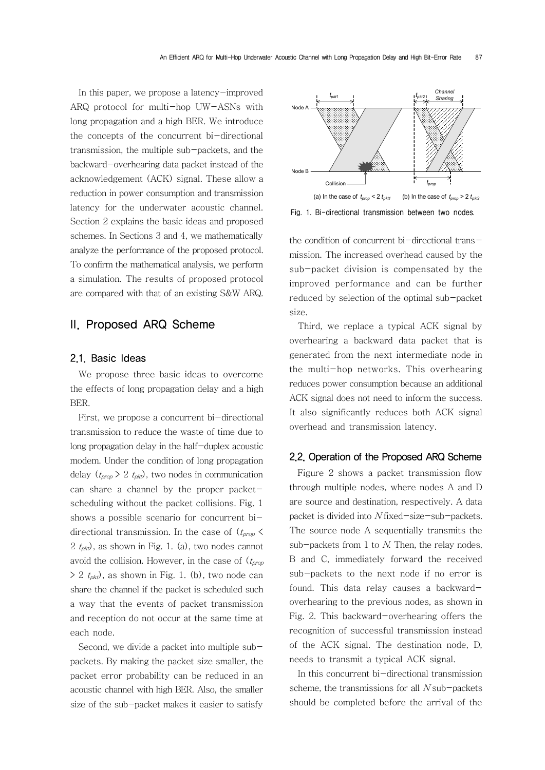In this paper, we propose a latency-improved ARQ protocol for multi-hop UW-ASNs with long propagation and a high BER. We introduce the concepts of the concurrent bi-directional transmission, the multiple sub-packets, and the backward-overhearing data packet instead of the acknowledgement (ACK) signal. These allow a reduction in power consumption and transmission latency for the underwater acoustic channel. Section 2 explains the basic ideas and proposed schemes. In Sections 3 and 4, we mathematically analyze the performance of the proposed protocol. To confirm the mathematical analysis, we perform a simulation. The results of proposed protocol are compared with that of an existing S&W ARQ.

# II. Proposed ARQ Scheme

#### 2.1. Basic Ideas

We propose three basic ideas to overcome the effects of long propagation delay and a high BER.

First, we propose a concurrent bi-directional transmission to reduce the waste of time due to long propagation delay in the half-duplex acoustic modem. Under the condition of long propagation delay  $(t_{prop} > 2 t_{pkt})$ , two nodes in communication can share a channel by the proper packetscheduling without the packet collisions. Fig. 1 shows a possible scenario for concurrent bidirectional transmission. In the case of  $(t_{\text{prop}} \leq$ 2  $t_{pkt}$ , as shown in Fig. 1. (a), two nodes cannot avoid the collision. However, in the case of  $(t_{prop})$  $> 2$  t<sub>pkt</sub>), as shown in Fig. 1. (b), two node can share the channel if the packet is scheduled such a way that the events of packet transmission and reception do not occur at the same time at each node.

Second, we divide a packet into multiple subpackets. By making the packet size smaller, the packet error probability can be reduced in an acoustic channel with high BER. Also, the smaller size of the sub-packet makes it easier to satisfy



Fig. 1. Bi-directional transmission between two nodes.

the condition of concurrent bi-directional transmission. The increased overhead caused by the sub-packet division is compensated by the improved performance and can be further reduced by selection of the optimal sub-packet size.

Third, we replace a typical ACK signal by overhearing a backward data packet that is generated from the next intermediate node in the multi-hop networks. This overhearing reduces power consumption because an additional ACK signal does not need to inform the success. It also significantly reduces both ACK signal overhead and transmission latency.

## 2.2. Operation of the Proposed ARQ Scheme

Figure 2 shows a packet transmission flow through multiple nodes, where nodes A and D are source and destination, respectively. A data packet is divided into N fixed-size-sub-packets. The source node A sequentially transmits the sub-packets from 1 to  $N$ . Then, the relay nodes, B and C, immediately forward the received sub-packets to the next node if no error is found. This data relay causes a backwardoverhearing to the previous nodes, as shown in Fig. 2. This backward-overhearing offers the recognition of successful transmission instead of the ACK signal. The destination node, D, needs to transmit a typical ACK signal.

In this concurrent bi-directional transmission scheme, the transmissions for all  $N$  sub-packets should be completed before the arrival of the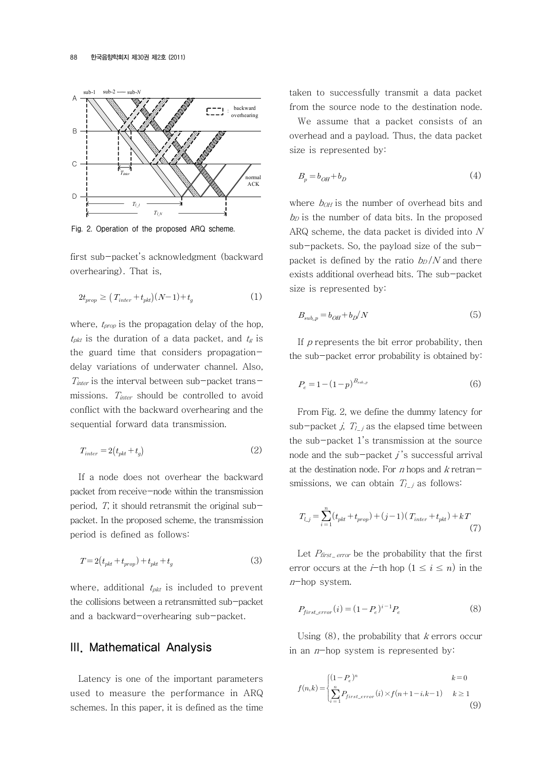

Fig. 2. Operation of the proposed ARQ scheme.

first sub-packet's acknowledgment (backward overhearing). That is,

$$
2t_{prop} \ge (T_{inter} + t_{pkt})(N-1) + t_g \tag{1}
$$

where,  $t_{prop}$  is the propagation delay of the hop,  $t_{\text{pkt}}$  is the duration of a data packet, and  $t_g$  is the guard time that considers propagationdelay variations of underwater channel. Also,  $T_{inter}$  is the interval between sub-packet transmissions.  $T_{inter}$  should be controlled to avoid conflict with the backward overhearing and the sequential forward data transmission.

$$
T_{inter} = 2(t_{pkt} + t_g) \tag{2}
$$

If a node does not overhear the backward packet from receive-node within the transmission period,  $T$ , it should retransmit the original subpacket. In the proposed scheme, the transmission period is defined as follows:

$$
T = 2(tpkt + tprop) + tpkt + tg
$$
\n(3)

where, additional  $t_{pkt}$  is included to prevent the collisions between a retransmitted sub-packet and a backward-overhearing sub-packet.

## III. Mathematical Analysis

Latency is one of the important parameters used to measure the performance in ARQ schemes. In this paper, it is defined as the time taken to successfully transmit a data packet from the source node to the destination node.

We assume that a packet consists of an overhead and a payload. Thus, the data packet size is represented by:

$$
B_p = b_{OH} + b_D \tag{4}
$$

where  $b_{OH}$  is the number of overhead bits and  $b<sub>D</sub>$  is the number of data bits. In the proposed ARQ scheme, the data packet is divided into N sub-packets. So, the payload size of the subpacket is defined by the ratio  $b_D/N$  and there exists additional overhead bits. The sub-packet size is represented by:

$$
B_{sub\_p} = b_{OH} + b_D / N \tag{5}
$$

If  $p$  represents the bit error probability, then the sub-packet error probability is obtained by:

$$
P_e = 1 - (1 - p)^{B_{sub\_p}} \tag{6}
$$

From Fig. 2, we define the dummy latency for sub-packet j,  $T_{l}$  as the elapsed time between the sub-packet 1's transmission at the source node and the sub-packet  $j$ 's successful arrival at the destination node. For  $n$  hops and  $k$  retransmissions, we can obtain  $T_{l}$  as follows:

$$
T_{l\_j} = \sum_{i=1}^{n} (t_{pkt} + t_{prop}) + (j-1) (T_{inter} + t_{pkt}) + kT
$$
\n(7)

Let  $P_{\text{first\_error}}$  be the probability that the first error occurs at the *i*-th hop  $(1 \le i \le n)$  in the <sup>n</sup>-hop system.

$$
P_{first\_error}(i) = (1 - P_e)^{i-1} P_e
$$
\n
$$
(8)
$$

Using  $(8)$ , the probability that k errors occur in an  $n$ -hop system is represented by:

$$
f(n,k) = \begin{cases} (1-P_e)^n & k=0\\ \sum_{i=1}^n P_{first\_error}(i) \times f(n+1-i,k-1) & k \ge 1\\ \end{cases}
$$
(9)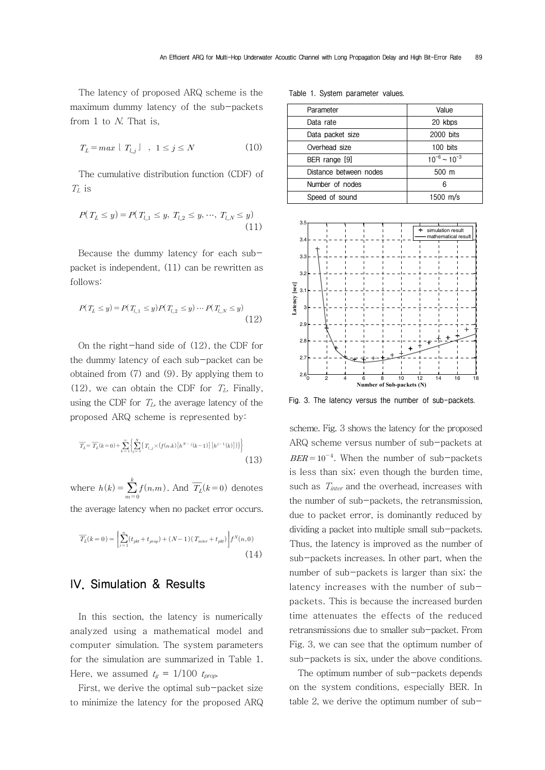The latency of proposed ARQ scheme is the maximum dummy latency of the sub-packets from 1 to N. That is,

$$
T_L = \max \lfloor T_{l,j} \rfloor \quad , \quad 1 \le j \le N \tag{10}
$$

The cumulative distribution function (CDF) of  $T_L$  is

$$
P(T_L \le y) = P(T_{L1} \le y, T_{L2} \le y, \dots, T_{LN} \le y)
$$
\n(11)

Because the dummy latency for each subpacket is independent, (11) can be rewritten as follows:

$$
P(T_L \leq y) = P(T_{L1} \leq y)P(T_{L2} \leq y) \cdots P(T_{LN} \leq y)
$$
\n(12)

On the right-hand side of (12), the CDF for the dummy latency of each sub-packet can be obtained from (7) and (9). By applying them to (12), we can obtain the CDF for  $T_L$ . Finally, using the CDF for  $T_L$ , the average latency of the proposed ARQ scheme is represented by:

$$
\overline{T_L} = \overline{T_L}(k=0) + \sum_{k=1}^{\infty} \left\{ \sum_{j=1}^{N} \left\{ T_{l,j} \times \left( f(n,k) \left[ h^{N-j}(k-1) \right] \left[ h^{j-1}(k) \right] \right) \right\} \right\}
$$
\n(13)

where  $h(k) = \sum_{m=0}^{\infty}$  $\sum_{k=1}^{k} f(n,m)$ . And  $\overline{T_L}(k=0)$  denotes the average latency when no packet error occurs.

$$
\overline{T_L}(k=0) = \left[ \sum_{i=1}^n (t_{pk} + t_{prop}) + (N-1)(T_{inter} + t_{pk}) \right] f^N(n,0)
$$
\n(14)

# IV. Simulation & Results

In this section, the latency is numerically analyzed using a mathematical model and computer simulation. The system parameters for the simulation are summarized in Table 1. Here, we assumed  $t_g = 1/100$   $t_{prop}$ .

First, we derive the optimal sub-packet size to minimize the latency for the proposed ARQ

Table 1. System parameter values.

| Parameter              | Value                 |  |
|------------------------|-----------------------|--|
| Data rate              | 20 kbps               |  |
| Data packet size       | 2000 bits             |  |
| Overhead size          | $100$ bits            |  |
| BER range [9]          | $10^{-6}$ ~ $10^{-3}$ |  |
| Distance between nodes | 500 m                 |  |
| Number of nodes        | 6                     |  |
| Speed of sound         | 1500 $m/s$            |  |
|                        |                       |  |



Fig. 3. The latency versus the number of sub-packets.

scheme. Fig. 3 shows the latency for the proposed ARQ scheme versus number of sub-packets at  $BER = 10^{-4}$ . When the number of sub-packets is less than six; even though the burden time, such as  $T_{inter}$  and the overhead, increases with the number of sub-packets, the retransmission, due to packet error, is dominantly reduced by dividing a packet into multiple small sub-packets. Thus, the latency is improved as the number of sub-packets increases. In other part, when the number of sub-packets is larger than six; the latency increases with the number of subpackets. This is because the increased burden time attenuates the effects of the reduced retransmissions due to smaller sub-packet. From Fig. 3, we can see that the optimum number of sub-packets is six, under the above conditions.

The optimum number of sub-packets depends on the system conditions, especially BER. In table 2, we derive the optimum number of sub-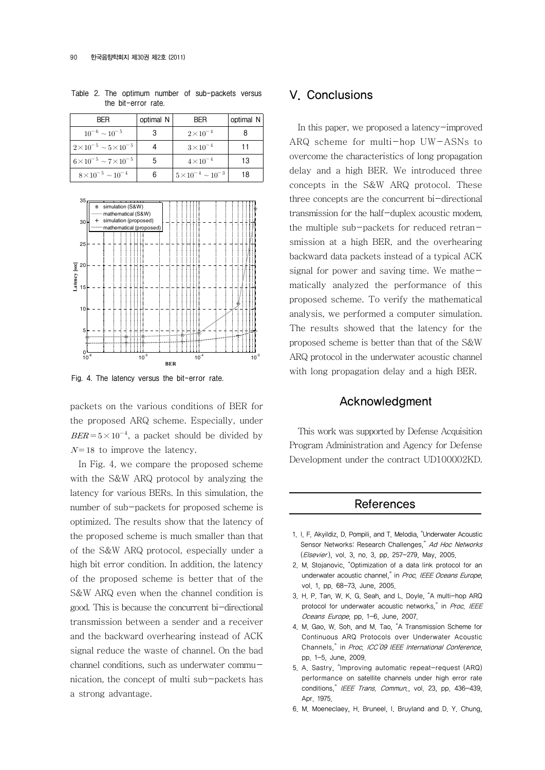| <b>BFR</b>                           | optimal N | <b>BFR</b>                      | optimal N |
|--------------------------------------|-----------|---------------------------------|-----------|
| $10^{-6} \sim 10^{-5}$               |           | $2 \times 10^{-4}$              |           |
| $2\times10^{-5} \sim 5\times10^{-5}$ |           | $3\times10^{-4}$                |           |
| $6\times10^{-5} \sim 7\times10^{-5}$ |           | $4 \times 10^{-4}$              | 13        |
| $8\times10^{-5} \sim 10^{-4}$        |           | $5 \times 10^{-4} \sim 10^{-3}$ | 18        |

Table 2. The optimum number of sub-packets versus the bit-error rate.



Fig. 4. The latency versus the bit-error rate.

packets on the various conditions of BER for the proposed ARQ scheme. Especially, under  $BER = 5 \times 10^{-4}$ , a packet should be divided by  $N=18$  to improve the latency.

In Fig. 4, we compare the proposed scheme with the S&W ARQ protocol by analyzing the latency for various BERs. In this simulation, the number of sub-packets for proposed scheme is optimized. The results show that the latency of the proposed scheme is much smaller than that of the S&W ARQ protocol, especially under a high bit error condition. In addition, the latency of the proposed scheme is better that of the S&W ARQ even when the channel condition is good. This is because the concurrent bi-directional transmission between a sender and a receiver and the backward overhearing instead of ACK signal reduce the waste of channel. On the bad channel conditions, such as underwater communication, the concept of multi sub-packets has a strong advantage.

## V. Conclusions

In this paper, we proposed a latency-improved ARQ scheme for multi-hop UW-ASNs to overcome the characteristics of long propagation delay and a high BER. We introduced three concepts in the S&W ARQ protocol. These three concepts are the concurrent bi-directional transmission for the half-duplex acoustic modem, the multiple sub-packets for reduced retransmission at a high BER, and the overhearing backward data packets instead of a typical ACK signal for power and saving time. We mathematically analyzed the performance of this proposed scheme. To verify the mathematical analysis, we performed a computer simulation. The results showed that the latency for the proposed scheme is better than that of the S&W ARQ protocol in the underwater acoustic channel with long propagation delay and a high BER.

### Acknowledgment

This work was supported by Defense Acquisition Program Administration and Agency for Defense Development under the contract UD100002KD.

#### **References**

- 1. I. F. Akyildiz, D. Pompili, and T. Melodia, "Underwater Acoustic Sensor Networks: Research Challenges," Ad Hoc Networks (Elsevier), vol. 3, no. 3, pp. 257-279, May, 2005.
- 2. M. Stojanovic, "Optimization of a data link protocol for an underwater acoustic channel," in Proc. IEEE Oceans Europe, vol. 1, pp. 68-73, June, 2005.
- 3. H. P. Tan, W. K. G. Seah, and L. Doyle, "A multi-hop ARQ protocol for underwater acoustic networks," in Proc. IEEE Oceans Europe, pp. 1-6, June, 2007.
- 4. M. Gao, W. Soh, and M. Tao, "A Transmission Scheme for Continuous ARQ Protocols over Underwater Acoustic Channels<sup>"</sup> in Proc. ICC'09 IEEE International Conference pp. 1-5, June, 2009.
- 5. A. Sastry, "Improving automatic repeat-request (ARQ) performance on satellite channels under high error rate conditions," IEEE Trans. Commun., vol. 23, pp. 436-439, Apr. 1975.
- 6. M. Moeneclaey, H. Bruneel, I. Bruyland and D. Y. Chung,